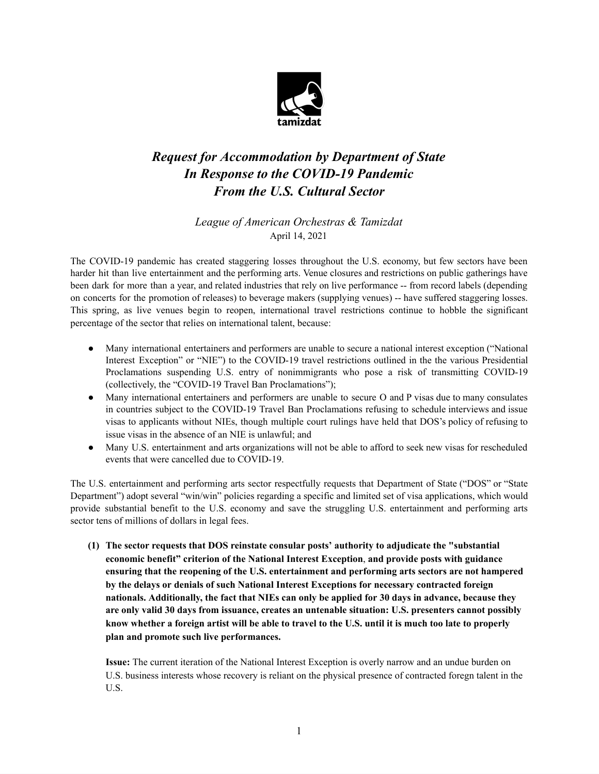

# *Request for Accommodation by Department of State In Response to the COVID-19 Pandemic From the U.S. Cultural Sector*

*League of American Orchestras & Tamizdat*  April 14, 2021

The COVID-19 pandemic has created staggering losses throughout the U.S. economy, but few sectors have been harder hit than live entertainment and the performing arts. Venue closures and restrictions on public gatherings have been dark for more than a year, and related industries that rely on live performance -- from record labels (depending on concerts for the promotion of releases) to beverage makers (supplying venues) -- have suffered staggering losses. This spring, as live venues begin to reopen, international travel restrictions continue to hobble the significant percentage of the sector that relies on international talent, because:

- Many international entertainers and performers are unable to secure a national interest exception ("National Interest Exception" or "NIE") to the COVID-19 travel restrictions outlined in the the various Presidential Proclamations suspending U.S. entry of nonimmigrants who pose a risk of transmitting COVID-19 (collectively, the "COVID-19 Travel Ban Proclamations");
- Many international entertainers and performers are unable to secure O and P visas due to many consulates in countries subject to the COVID-19 Travel Ban Proclamations refusing to schedule interviews and issue visas to applicants without NIEs, though multiple court rulings have held that DOS's policy of refusing to issue visas in the absence of an NIE is unlawful; and
- Many U.S. entertainment and arts organizations will not be able to afford to seek new visas for rescheduled events that were cancelled due to COVID-19.

The U.S. entertainment and performing arts sector respectfully requests that Department of State ("DOS" or "State Department") adopt several "win/win" policies regarding a specific and limited set of visa applications, which would provide substantial benefit to the U.S. economy and save the struggling U.S. entertainment and performing arts sector tens of millions of dollars in legal fees.

**(1) The sector requests that DOS reinstate consular posts' authority to adjudicate the "substantial economic benefit" criterion of the National Interest Exception**, **and provide posts with guidance ensuring that the reopening of the U.S. entertainment and performing arts sectors are not hampered by the delays or denials of such National Interest Exceptions for necessary contracted foreign nationals. Additionally, the fact that NIEs can only be applied for 30 days in advance, because they are only valid 30 days from issuance, creates an untenable situation: U.S. presenters cannot possibly** know whether a foreign artist will be able to travel to the U.S. until it is much too late to properly **plan and promote such live performances.**

**Issue:** The current iteration of the National Interest Exception is overly narrow and an undue burden on U.S. business interests whose recovery is reliant on the physical presence of contracted foregn talent in the U.S.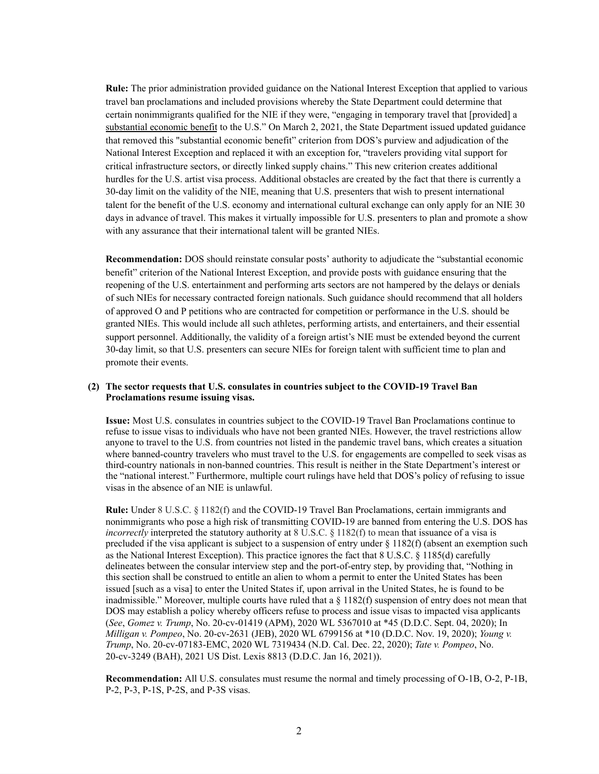**Rule:** The prior administration provided guidance on the National Interest Exception that applied to various travel ban proclamations and included provisions whereby the State Department could determine that certain nonimmigrants qualified for the NIE if they were, "engaging in temporary travel that [provided] a substantial economic benefit to the U.S." On March 2, 2021, the State Department issued updated guidance that removed this "substantial economic benefit" criterion from DOS's purview and adjudication of the National Interest Exception and replaced it with an exception for, "travelers providing vital support for critical infrastructure sectors, or directly linked supply chains." This new criterion creates additional hurdles for the U.S. artist visa process. Additional obstacles are created by the fact that there is currently a 30-day limit on the validity of the NIE, meaning that U.S. presenters that wish to present international talent for the benefit of the U.S. economy and international cultural exchange can only apply for an NIE 30 days in advance of travel. This makes it virtually impossible for U.S. presenters to plan and promote a show with any assurance that their international talent will be granted NIEs.

**Recommendation:** DOS should reinstate consular posts' authority to adjudicate the "substantial economic benefit" criterion of the National Interest Exception, and provide posts with guidance ensuring that the reopening of the U.S. entertainment and performing arts sectors are not hampered by the delays or denials of such NIEs for necessary contracted foreign nationals. Such guidance should recommend that all holders of approved O and P petitions who are contracted for competition or performance in the U.S. should be granted NIEs. This would include all such athletes, performing artists, and entertainers, and their essential support personnel. Additionally, the validity of a foreign artist's NIE must be extended beyond the current 30-day limit, so that U.S. presenters can secure NIEs for foreign talent with sufficient time to plan and promote their events.

#### **(2) The sector requests that U.S. consulates in countries subject to the COVID-19 Travel Ban Proclamations resume issuing visas.**

**Issue:** Most U.S. consulates in countries subject to the COVID-19 Travel Ban Proclamations continue to refuse to issue visas to individuals who have not been granted NIEs. However, the travel restrictions allow anyone to travel to the U.S. from countries not listed in the pandemic travel bans, which creates a situation where banned-country travelers who must travel to the U.S. for engagements are compelled to seek visas as third-country nationals in non-banned countries. This result is neither in the State Department's interest or the "national interest." Furthermore, multiple court rulings have held that DOS's policy of refusing to issue visas in the absence of an NIE is unlawful.

**Rule:** Under 8 U.S.C. § 1182(f) and the COVID-19 Travel Ban Proclamations, certain immigrants and nonimmigrants who pose a high risk of transmitting COVID-19 are banned from entering the U.S. DOS has *incorrectly* interpreted the statutory authority at 8 U.S.C. § 1182(f) to mean that issuance of a visa is precluded if the visa applicant is subject to a suspension of entry under § 1182(f) (absent an exemption such as the National Interest Exception). This practice ignores the fact that 8 U.S.C. § 1185(d) carefully delineates between the consular interview step and the port-of-entry step, by providing that, "Nothing in this section shall be construed to entitle an alien to whom a permit to enter the United States has been issued [such as a visa] to enter the United States if, upon arrival in the United States, he is found to be inadmissible." Moreover, multiple courts have ruled that a § 1182(f) suspension of entry does not mean that DOS may establish a policy whereby officers refuse to process and issue visas to impacted visa applicants (*See*, *Gomez v. Trump*, No. 20-cv-01419 (APM), 2020 WL 5367010 at \*45 (D.D.C. Sept. 04, 2020); In *Milligan v. Pompeo*, No. 20-cv-2631 (JEB), 2020 WL 6799156 at \*10 (D.D.C. Nov. 19, 2020); *Young v. Trump*, No. 20-cv-07183-EMC, 2020 WL 7319434 (N.D. Cal. Dec. 22, 2020); *Tate v. Pompeo*, No. 20-cv-3249 (BAH), 2021 US Dist. Lexis 8813 (D.D.C. Jan 16, 2021)).

**Recommendation:** All U.S. consulates must resume the normal and timely processing of O-1B, O-2, P-1B, P-2, P-3, P-1S, P-2S, and P-3S visas.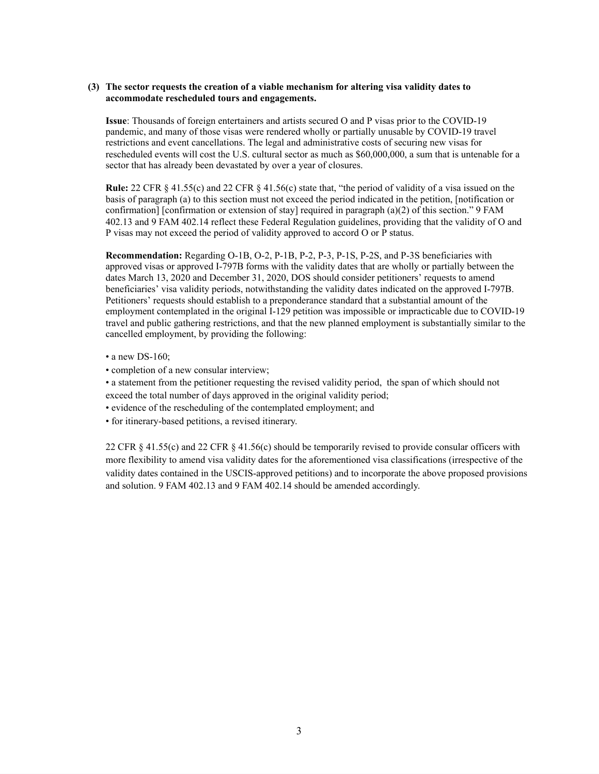#### **(3) The sector requests the creation of a viable mechanism for altering visa validity dates to accommodate rescheduled tours and engagements.**

**Issue**: Thousands of foreign entertainers and artists secured O and P visas prior to the COVID-19 pandemic, and many of those visas were rendered wholly or partially unusable by COVID-19 travel restrictions and event cancellations. The legal and administrative costs of securing new visas for rescheduled events will cost the U.S. cultural sector as much as \$60,000,000, a sum that is untenable for a sector that has already been devastated by over a year of closures.

**Rule:** 22 CFR § 41.55(c) and 22 CFR § 41.56(c) state that, "the period of validity of a visa issued on the basis of paragraph (a) to this section must not exceed the period indicated in the petition, [notification or confirmation] [confirmation or extension of stay] required in paragraph (a)(2) of this section." 9 FAM 402.13 and 9 FAM 402.14 reflect these Federal Regulation guidelines, providing that the validity of O and P visas may not exceed the period of validity approved to accord O or P status.

**Recommendation:** Regarding O-1B, O-2, P-1B, P-2, P-3, P-1S, P-2S, and P-3S beneficiaries with approved visas or approved I-797B forms with the validity dates that are wholly or partially between the dates March 13, 2020 and December 31, 2020, DOS should consider petitioners' requests to amend beneficiaries' visa validity periods, notwithstanding the validity dates indicated on the approved I-797B. Petitioners' requests should establish to a preponderance standard that a substantial amount of the employment contemplated in the original I-129 petition was impossible or impracticable due to COVID-19 travel and public gathering restrictions, and that the new planned employment is substantially similar to the cancelled employment, by providing the following:

- a new DS-160:
- completion of a new consular interview;
- a statement from the petitioner requesting the revised validity period, the span of which should not exceed the total number of days approved in the original validity period;
- evidence of the rescheduling of the contemplated employment; and
- for itinerary-based petitions, a revised itinerary.

22 CFR § 41.55(c) and 22 CFR § 41.56(c) should be temporarily revised to provide consular officers with more flexibility to amend visa validity dates for the aforementioned visa classifications (irrespective of the validity dates contained in the USCIS-approved petitions) and to incorporate the above proposed provisions and solution. 9 FAM 402.13 and 9 FAM 402.14 should be amended accordingly.